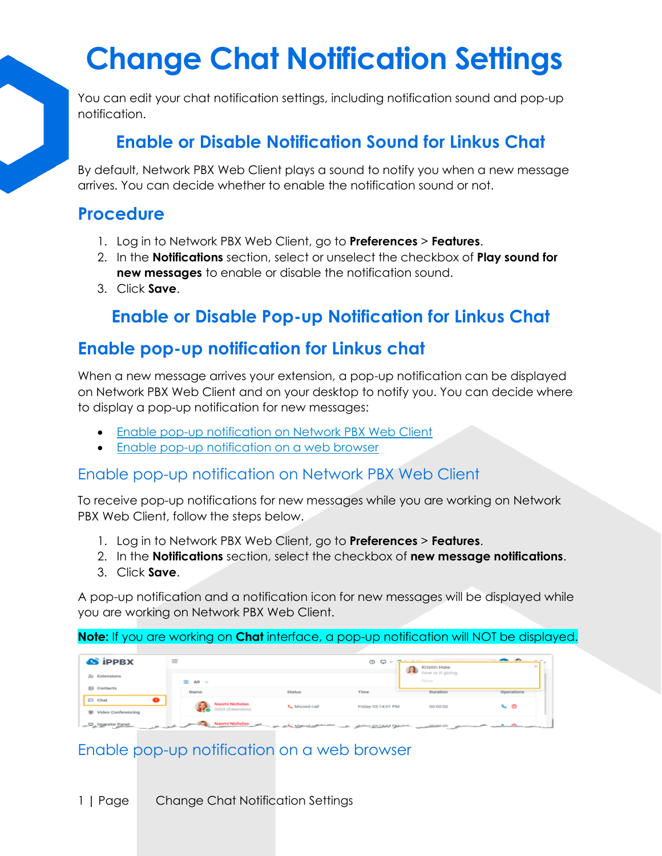# **Change Chat Notification Settings**

You can edit your chat notification settings, including notification sound and pop-up notification.

### **Enable or Disable Notification Sound for Linkus Chat**

By default, Network PBX Web Client plays a sound to notify you when a new message arrives. You can decide whether to enable the notification sound or not.

#### **Procedure**

- 1. Log in to Network PBX Web Client, go to **Preferences** > **Features**.
- 2. In the **Notifications** section, select or unselect the checkbox of **Play sound for new messages** to enable or disable the notification sound.
- 3. Click **Save**.

## **Enable or Disable Pop-up Notification for Linkus Chat**

#### **Enable pop-up notification for Linkus chat**

When a new message arrives your extension, a pop-up notification can be displayed on Network PBX Web Client and on your desktop to notify you. You can decide where to display a pop-up notification for new messages:

- [Enable pop-up notification on Network PBX Web Client](https://help.yeastar.com/en/p-series-cloud-edition/web-client-user-guide/change-chat-notification-settings.html#topic_r1p_224_jpb__on-linkus)
- [Enable pop-up notification on a web browser](https://help.yeastar.com/en/p-series-cloud-edition/web-client-user-guide/change-chat-notification-settings.html#topic_r1p_224_jpb__on-browser)

#### Enable pop-up notification on Network PBX Web Client

To receive pop-up notifications for new messages while you are working on Network PBX Web Client, follow the steps below.

- 1. Log in to Network PBX Web Client, go to **Preferences** > **Features**.
- 2. In the **Notifications** section, select the checkbox of **new message notifications**.
- 3. Click **Save**.

A pop-up notification and a notification icon for new messages will be displayed while you are working on Network PBX Web Client.

**Note:** If you are working on **Chat** interface, a pop-up notification will NOT be displayed.

| <b>S iPPBX</b>              | ∊ |                                    |                      | $\circledcirc$ $\circledcirc$ | $\cdots \cdots \cdots \cdots$<br>Kristin Hale | $\sim$ $\sim$<br>--<br>$\mathbb{R}$ |
|-----------------------------|---|------------------------------------|----------------------|-------------------------------|-----------------------------------------------|-------------------------------------|
| St Extensions               |   | 黒 All v                            |                      |                               | how is it going<br>Now                        |                                     |
| <b>E</b> Contacts           |   | Name                               | Status               | Time                          | Duration                                      | Operations                          |
| <b>El</b> Chat<br>o         |   | Naomi Nicholas<br>2003 (Extension) | <b>L</b> Missed call | Friday 03:14:01 PM            | 00:00:00                                      | 3.5                                 |
| <b>E Video Conferencing</b> |   |                                    |                      |                               |                                               |                                     |
| CJ Operator Panel           |   | Naomi Nicholas MA                  | and, Mated calls     |                               |                                               |                                     |

Enable pop-up notification on a web browser